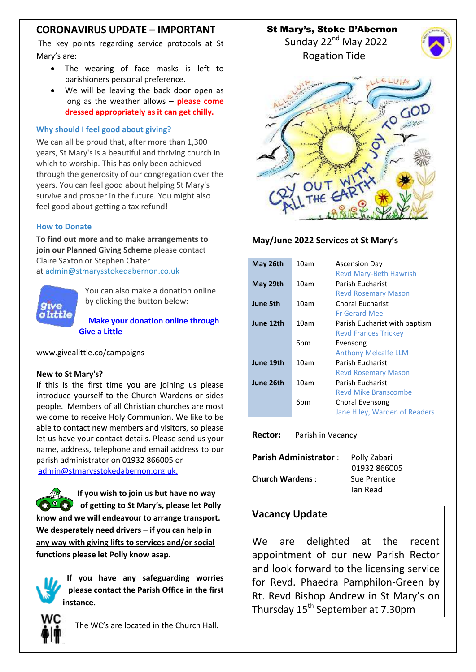# **CORONAVIRUS UPDATE – IMPORTANT**

The key points regarding service protocols at St Mary's are:

- The wearing of face masks is left to parishioners personal preference.
- We will be leaving the back door open as long as the weather allows – **please come dressed appropriately as it can get chilly.**

#### **Why should I feel good about giving?**

We can all be proud that, after more than 1,300 years, St Mary's is a beautiful and thriving church in which to worship. This has only been achieved through the generosity of our congregation over the years. You can feel good about helping St Mary's survive and prosper in the future. You might also feel good about getting a tax refund!

### **How to Donate**

**To find out more and to make arrangements to join our Planned Giving Scheme** please contact Claire Saxton or Stephen Chater at [admin@stmarysstokedabernon.co.uk](mailto:info@stmarysstokedabernon.co.uk)



You can also make a donation online by clicking the button below:

**Make your [donation](https://givealittle.co/campaigns/7d65d2c5-4189-45f4-9027-11ecb5814414) online through Give a [Little](https://givealittle.co/campaigns/7d65d2c5-4189-45f4-9027-11ecb5814414)**

www.givealittle.co/campaigns

#### **New to St Mary's?**

If this is the first time you are joining us please introduce yourself to the Church Wardens or sides people. Members of all Christian churches are most welcome to receive Holy Communion. We like to be able to contact new members and visitors, so please let us have your contact details. Please send us your name, address, telephone and email address to our parish administrator on 01932 866005 or [admin@stmarysstokedabernon.org.uk.](mailto:admin@stmarysstokedabernon.org.uk)

**If you wish to join us but have no way of getting to St Mary's, please let Polly know and we will endeavour to arrange transport. We desperately need drivers – if you can help in any way with giving lifts to services and/or social functions please let Polly know asap.**

**If you have any safeguarding worries please contact the Parish Office in the first instance.**



The WC's are located in the Church Hall.

St Mary's, Stoke D'Abernon

Sunday 22<sup>nd</sup> May 2022 Rogation Tide





### **May/June 2022 Services at St Mary's**

| May 26th  | 10am | <b>Ascension Day</b><br><b>Revd Mary-Beth Hawrish</b>        |
|-----------|------|--------------------------------------------------------------|
| May 29th  | 10am | Parish Fucharist<br><b>Revd Rosemary Mason</b>               |
| June 5th  | 10am | <b>Choral Eucharist</b><br><b>Fr Gerard Mee</b>              |
| June 12th | 10am | Parish Eucharist with baptism<br><b>Revd Frances Trickey</b> |
|           | 6pm  | Evensong<br><b>Anthony Melcalfe LLM</b>                      |
| June 19th | 10am | Parish Fucharist<br><b>Revd Rosemary Mason</b>               |
| June 26th | 10am | <b>Parish Eucharist</b><br>Reyd Mike Branscombe              |
|           | 6pm  | Choral Evensong<br>Jane Hiley, Warden of Readers             |
|           |      |                                                              |

**Rector:** Parish in Vacancy

| <b>Parish Administrator:</b> | Polly Zabari |
|------------------------------|--------------|
|                              | 01932 866005 |
| <b>Church Wardens:</b>       | Sue Prentice |
|                              | lan Read     |

## **Vacancy Update**

We are delighted at the recent appointment of our new Parish Rector and look forward to the licensing service for Revd. Phaedra Pamphilon-Green by Rt. Revd Bishop Andrew in St Mary's on Thursday 15<sup>th</sup> September at 7.30pm